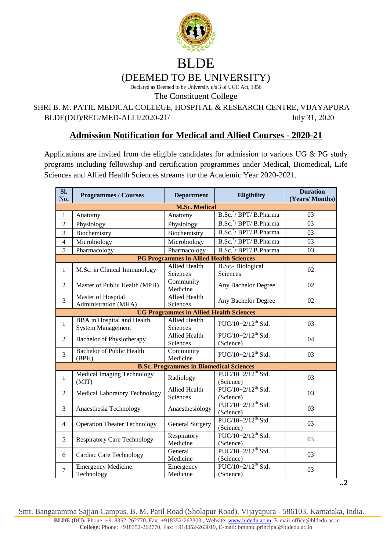

Declared as Deemed to be University u/s 3 of UGC Act, 1956

The Constituent College

SHRI B. M. PATIL MEDICAL COLLEGE, HOSPITAL & RESEARCH CENTRE, VIJAYAPURA BLDE(DU)/REG/MED-ALLI/2020-21/ July 31, 2020

## **Admission Notification for Medical and Allied Courses - 2020-21**

Applications are invited from the eligible candidates for admission to various UG & PG study programs including fellowship and certification programmes under Medical, Biomedical, Life Sciences and Allied Health Sciences streams for the Academic Year 2020-2021.

| $\overline{\text{SL}}$<br>No. | <b>Programmes / Courses</b>                                   | <b>Department</b>                              | Eligibility                                   | <b>Duration</b><br>(Years/Months) |  |  |
|-------------------------------|---------------------------------------------------------------|------------------------------------------------|-----------------------------------------------|-----------------------------------|--|--|
|                               | <b>M.Sc. Medical</b>                                          |                                                |                                               |                                   |  |  |
| 1                             | Anatomy                                                       | Anatomy                                        | B.Sc. <sup>*</sup> / BPT/ B.Pharma            | 03                                |  |  |
| $\overline{2}$                | Physiology                                                    | Physiology                                     | B.Sc. <sup>*</sup> / BPT/ B.Pharma            | 03                                |  |  |
| $\overline{3}$                | Biochemistry                                                  | Biochemistry                                   | B.Sc. <sup>*</sup> / BPT/ B.Pharma            | 03                                |  |  |
| $\overline{4}$                | Microbiology                                                  | Microbiology                                   | B.Sc. <sup>*</sup> / BPT/ B.Pharma            | 03                                |  |  |
| $\overline{5}$                | Pharmacology                                                  | Pharmacology                                   | B.Sc. <sup>*</sup> / BPT/ B.Pharma            | $\overline{03}$                   |  |  |
|                               | <b>PG Programmes in Allied Health Sciences</b>                |                                                |                                               |                                   |  |  |
| $\mathbf{1}$                  | M.Sc. in Clinical Immunology                                  | <b>Allied Health</b><br>Sciences               | <b>B.Sc.-</b> Biological<br><b>Sciences</b>   | 02                                |  |  |
| $\overline{2}$                | Master of Public Health (MPH)                                 | Community<br>Medicine                          | Any Bachelor Degree                           | 02                                |  |  |
| $\overline{3}$                | Master of Hospital<br>Administration (MHA)                    | <b>Allied Health</b><br>Sciences               | Any Bachelor Degree                           | 02                                |  |  |
|                               | <b>UG Programmes in Allied Health Sciences</b>                |                                                |                                               |                                   |  |  |
| $\mathbf{1}$                  | <b>BBA</b> in Hospital and Health<br><b>System Management</b> | Allied Health<br>Sciences                      | $PUC/10+2/12^{th}$ Std.                       | 03                                |  |  |
| $\overline{2}$                | <b>Bachelor of Physiotherapy</b>                              | <b>Allied Health</b><br>Sciences               | $PUC/10+2/12^{th}$ Std.<br>(Science)          | 04                                |  |  |
| $\overline{3}$                | <b>Bachelor of Public Health</b><br>(BPH)                     | Community<br>Medicine                          | $PUC/10+2/12$ <sup>th</sup> Std.              | 03                                |  |  |
|                               |                                                               | <b>B.Sc. Programmes in Biomedical Sciences</b> |                                               |                                   |  |  |
| $\mathbf{1}$                  | <b>Medical Imaging Technology</b><br>(MIT)                    | Radiology                                      | $PUC/10+2/12^{th}$ Std.<br>(Science)          | 03                                |  |  |
| $\overline{2}$                | Medical Laboratory Technology                                 | <b>Allied Health</b><br>Sciences               | $PUC/10+2/12$ <sup>th</sup> Std.<br>(Science) | 03                                |  |  |
| 3                             | Anaesthesia Technology                                        | Anaesthesiology                                | $PUC/10+2/12$ <sup>th</sup> Std.<br>(Science) | 03                                |  |  |
| $\overline{4}$                | <b>Operation Theater Technology</b>                           | <b>General Surgery</b>                         | $PUC/10+2/12$ <sup>th</sup> Std.<br>(Science) | 03                                |  |  |
| 5                             | <b>Respiratory Care Technology</b>                            | Respiratory<br>Medicine                        | $PUC/10+2/12$ <sup>th</sup> Std.<br>(Science) | 03                                |  |  |
| 6                             | <b>Cardiac Care Technology</b>                                | General<br>Medicine                            | $PUC/10+2/12$ <sup>th</sup> Std.<br>(Science) | 03                                |  |  |
| $\overline{7}$                | <b>Emergency Medicine</b><br>Technology                       | Emergency<br>Medicine                          | $PUC/10+2/12$ <sup>th</sup> Std.<br>(Science) | 03                                |  |  |

**..2**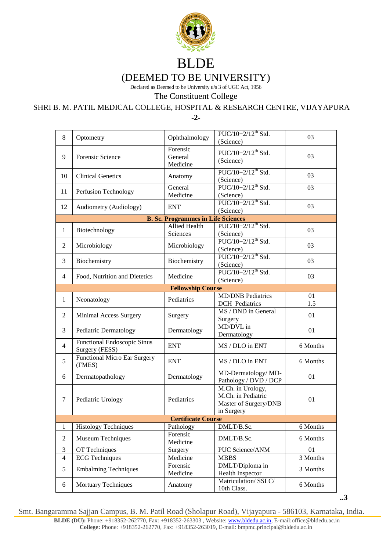

Declared as Deemed to be University u/s 3 of UGC Act, 1956

The Constituent College

SHRI B. M. PATIL MEDICAL COLLEGE, HOSPITAL & RESEARCH CENTRE, VIJAYAPURA

**-2-**

| $\,8$                     | Optometry                                     | Ophthalmology                             | $PUC/10+2/12^{th}$ Std.<br>(Science)                                           | 03               |  |
|---------------------------|-----------------------------------------------|-------------------------------------------|--------------------------------------------------------------------------------|------------------|--|
| 9                         | Forensic Science                              | Forensic<br>General<br>Medicine           | $PUC/10+2/12$ <sup>th</sup> Std.<br>(Science)                                  | 03               |  |
| 10                        | <b>Clinical Genetics</b>                      | Anatomy                                   | $PUC/10+2/12^{th}$ Std.<br>(Science)                                           | 03               |  |
| 11                        | Perfusion Technology                          | General<br>Medicine                       | PUC/10+2/12 <sup>th</sup> Std.<br>(Science)                                    | 03               |  |
| 12                        | Audiometry (Audiology)                        | <b>ENT</b>                                | $PUC/10+2/12$ <sup>th</sup> Std.<br>(Science)                                  | 03               |  |
|                           |                                               | <b>B. Sc. Programmes in Life Sciences</b> |                                                                                |                  |  |
| $\mathbf{1}$              | Biotechnology                                 | Allied Health<br>Sciences                 | PUC/10+2/12 <sup>th</sup> Std.<br>(Science)                                    | 03               |  |
| $\mathfrak{2}$            | Microbiology                                  | Microbiology                              | $PUC/10+2/12$ <sup>th</sup> Std.<br>(Science)                                  | 03               |  |
| 3                         | Biochemistry                                  | Biochemistry                              | $\overline{PUC/10+2/12^{th}}$ Std.<br>(Science)                                | 03               |  |
| 4                         | Food, Nutrition and Dietetics                 | Medicine                                  | $\overline{PUC/10+2/12^{th} Std.}$<br>(Science)                                | 03               |  |
|                           | <b>Fellowship Course</b>                      |                                           |                                                                                |                  |  |
|                           |                                               |                                           | <b>MD/DNB</b> Pediatrics                                                       | 01               |  |
| $\mathbf{1}$              | Neonatology                                   | Pediatrics                                | <b>DCH</b> Pediatrics                                                          | $\overline{1.5}$ |  |
| 2                         | Minimal Access Surgery                        | Surgery                                   | MS / DND in General<br>Surgery                                                 | 01               |  |
| 3                         | Pediatric Dermatology                         | Dermatology                               | MD/DVL in<br>Dermatology                                                       | 01               |  |
| $\overline{4}$            | Functional Endoscopic Sinus<br>Surgery (FESS) | <b>ENT</b>                                | MS / DLO in ENT                                                                | 6 Months         |  |
| 5                         | <b>Functional Micro Ear Surgery</b><br>(FMES) | <b>ENT</b>                                | MS / DLO in ENT                                                                | 6 Months         |  |
| 6                         | Dermatopathology                              | Dermatology                               | MD-Dermatology/MD-<br>Pathology / DVD / DCP                                    | 01               |  |
| 7                         | Pediatric Urology                             | Pediatrics                                | M.Ch. in Urology,<br>M.Ch. in Pediatric<br>Master of Surgery/DNB<br>in Surgery | 01               |  |
| <b>Certificate Course</b> |                                               |                                           |                                                                                |                  |  |
| 1                         | <b>Histology Techniques</b>                   | Pathology                                 | DMLT/B.Sc.                                                                     | 6 Months         |  |
| $\boldsymbol{2}$          | Museum Techniques                             | Forensic<br>Medicine                      | DMLT/B.Sc.                                                                     | 6 Months         |  |
| $\mathfrak{Z}$            | OT Techniques                                 | Surgery                                   | PUC Science/ANM                                                                | 01               |  |
| $\overline{4}$            | <b>ECG</b> Techniques                         | Medicine                                  | <b>MBBS</b>                                                                    | 3 Months         |  |
| 5                         | <b>Embalming Techniques</b>                   | Forensic<br>Medicine                      | DMLT/Diploma in<br><b>Health Inspector</b>                                     | 3 Months         |  |
| 6                         | <b>Mortuary Techniques</b>                    | Anatomy                                   | Matriculation/SSLC/<br>10th Class.                                             | 6 Months         |  |

**..3**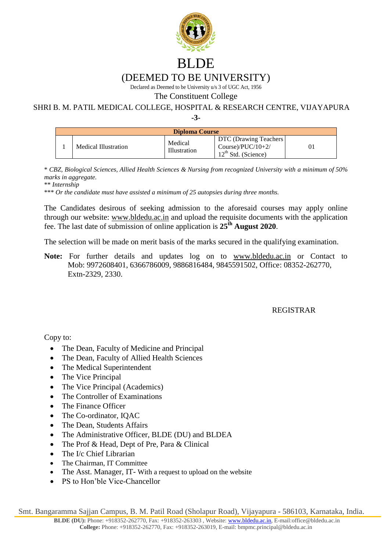

Declared as Deemed to be University u/s 3 of UGC Act, 1956

The Constituent College

SHRI B. M. PATIL MEDICAL COLLEGE, HOSPITAL & RESEARCH CENTRE, VIJAYAPURA

**-3-**

| <b>Diploma Course</b> |                      |                                |                                                                        |    |
|-----------------------|----------------------|--------------------------------|------------------------------------------------------------------------|----|
|                       | Medical Illustration | Medical<br><b>Illustration</b> | DTC (Drawing Teachers<br>Course)/ $PUC/10+2/$<br>$12th$ Std. (Science) | 01 |

\* *CBZ, Biological Sciences, Allied Health Sciences & Nursing from recognized University with a minimum of 50% marks in aggregate.*

\*\* *Internship*

\*\*\* *Or the candidate must have assisted a minimum of 25 autopsies during three months.*

The Candidates desirous of seeking admission to the aforesaid courses may apply online through our website: [www.bldedu.ac.in](http://www.bldedu.ac.in/) and upload the requisite documents with the application fee. The last date of submission of online application is **25th August 2020**.

The selection will be made on merit basis of the marks secured in the qualifying examination.

**Note:** For further details and updates log on to [www.bldedu.ac.in](http://www.bldedu.ac.in/) or Contact to Mob: 9972608401, 6366786009, 9886816484, 9845591502, Office: 08352-262770, Extn-2329, 2330.

## REGISTRAR

Copy to:

- The Dean, Faculty of Medicine and Principal
- The Dean, Faculty of Allied Health Sciences
- The Medical Superintendent
- The Vice Principal
- The Vice Principal (Academics)
- The Controller of Examinations
- The Finance Officer
- The Co-ordinator, IOAC
- The Dean, Students Affairs
- The Administrative Officer, BLDE (DU) and BLDEA
- The Prof & Head, Dept of Pre, Para & Clinical
- The I/c Chief Librarian
- The Chairman, IT Committee
- The Asst. Manager, IT- With a request to upload on the website
- PS to Hon'ble Vice-Chancellor